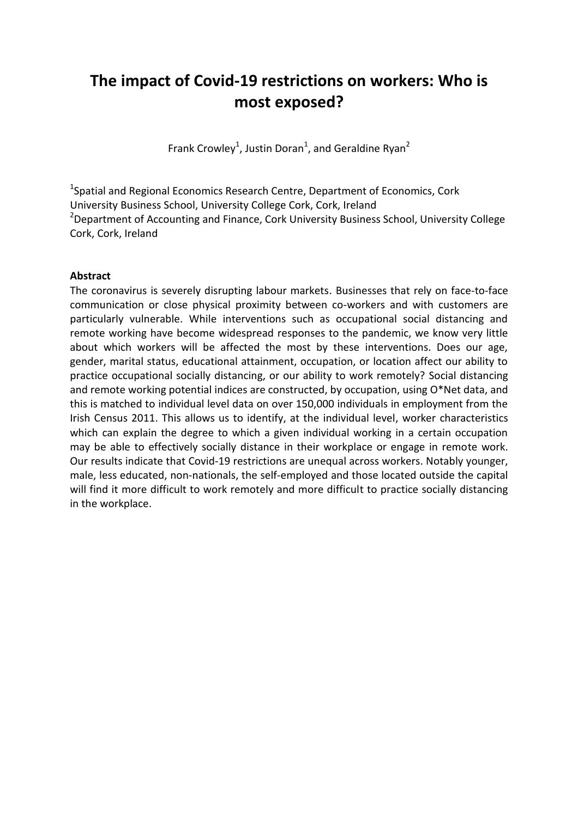# **The impact of Covid-19 restrictions on workers: Who is most exposed?**

Frank Crowley<sup>1</sup>, Justin Doran<sup>1</sup>, and Geraldine Ryan<sup>2</sup>

<sup>1</sup>Spatial and Regional Economics Research Centre, Department of Economics, Cork University Business School, University College Cork, Cork, Ireland <sup>2</sup>Department of Accounting and Finance, Cork University Business School, University College Cork, Cork, Ireland

#### **Abstract**

The coronavirus is severely disrupting labour markets. Businesses that rely on face-to-face communication or close physical proximity between co-workers and with customers are particularly vulnerable. While interventions such as occupational social distancing and remote working have become widespread responses to the pandemic, we know very little about which workers will be affected the most by these interventions. Does our age, gender, marital status, educational attainment, occupation, or location affect our ability to practice occupational socially distancing, or our ability to work remotely? Social distancing and remote working potential indices are constructed, by occupation, using O\*Net data, and this is matched to individual level data on over 150,000 individuals in employment from the Irish Census 2011. This allows us to identify, at the individual level, worker characteristics which can explain the degree to which a given individual working in a certain occupation may be able to effectively socially distance in their workplace or engage in remote work. Our results indicate that Covid-19 restrictions are unequal across workers. Notably younger, male, less educated, non-nationals, the self-employed and those located outside the capital will find it more difficult to work remotely and more difficult to practice socially distancing in the workplace.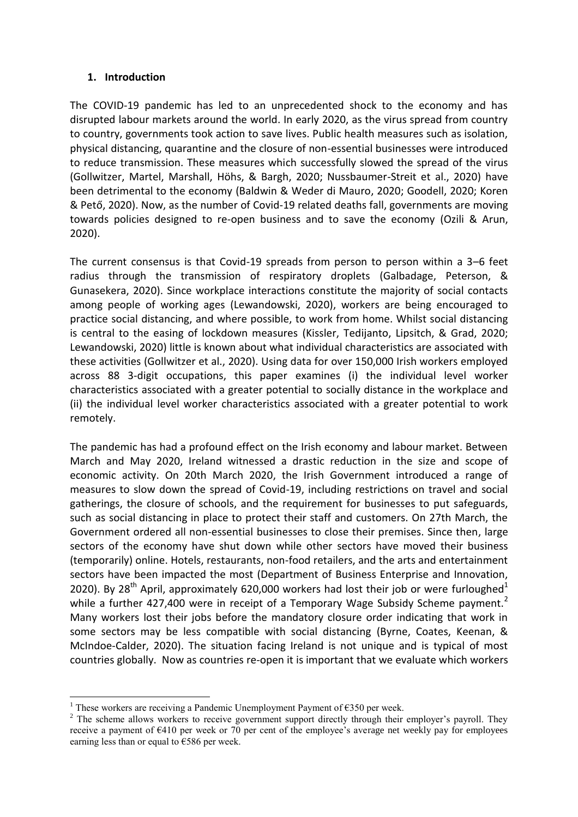#### **1. Introduction**

The COVID-19 pandemic has led to an unprecedented shock to the economy and has disrupted labour markets around the world. In early 2020, as the virus spread from country to country, governments took action to save lives. Public health measures such as isolation, physical distancing, quarantine and the closure of non-essential businesses were introduced to reduce transmission. These measures which successfully slowed the spread of the virus (Gollwitzer, Martel, Marshall, Höhs, & Bargh, 2020; Nussbaumer-Streit et al., 2020) have been detrimental to the economy (Baldwin & Weder di Mauro, 2020; Goodell, 2020; Koren & Pető, 2020). Now, as the number of Covid-19 related deaths fall, governments are moving towards policies designed to re-open business and to save the economy (Ozili & Arun, 2020).

The current consensus is that Covid-19 spreads from person to person within a 3–6 feet radius through the transmission of respiratory droplets (Galbadage, Peterson, & Gunasekera, 2020). Since workplace interactions constitute the majority of social contacts among people of working ages (Lewandowski, 2020), workers are being encouraged to practice social distancing, and where possible, to work from home. Whilst social distancing is central to the easing of lockdown measures (Kissler, Tedijanto, Lipsitch, & Grad, 2020; Lewandowski, 2020) little is known about what individual characteristics are associated with these activities (Gollwitzer et al., 2020). Using data for over 150,000 Irish workers employed across 88 3-digit occupations, this paper examines (i) the individual level worker characteristics associated with a greater potential to socially distance in the workplace and (ii) the individual level worker characteristics associated with a greater potential to work remotely.

The pandemic has had a profound effect on the Irish economy and labour market. Between March and May 2020, Ireland witnessed a drastic reduction in the size and scope of economic activity. On 20th March 2020, the Irish Government introduced a range of measures to slow down the spread of Covid-19, including restrictions on travel and social gatherings, the closure of schools, and the requirement for businesses to put safeguards, such as social distancing in place to protect their staff and customers. On 27th March, the Government ordered all non-essential businesses to close their premises. Since then, large sectors of the economy have shut down while other sectors have moved their business (temporarily) online. Hotels, restaurants, non-food retailers, and the arts and entertainment sectors have been impacted the most (Department of Business Enterprise and Innovation, 2020). By 28<sup>th</sup> April, approximately 620,000 workers had lost their job or were furloughed<sup>1</sup> while a further 427,400 were in receipt of a Temporary Wage Subsidy Scheme payment.<sup>2</sup> Many workers lost their jobs before the mandatory closure order indicating that work in some sectors may be less compatible with social distancing (Byrne, Coates, Keenan, & McIndoe-Calder, 2020). The situation facing Ireland is not unique and is typical of most countries globally. Now as countries re-open it is important that we evaluate which workers

l <sup>1</sup> These workers are receiving a Pandemic Unemployment Payment of  $\epsilon$ 350 per week.

<sup>&</sup>lt;sup>2</sup> The scheme allows workers to receive government support directly through their employer's payroll. They receive a payment of €410 per week or 70 per cent of the employee's average net weekly pay for employees earning less than or equal to  $€586$  per week.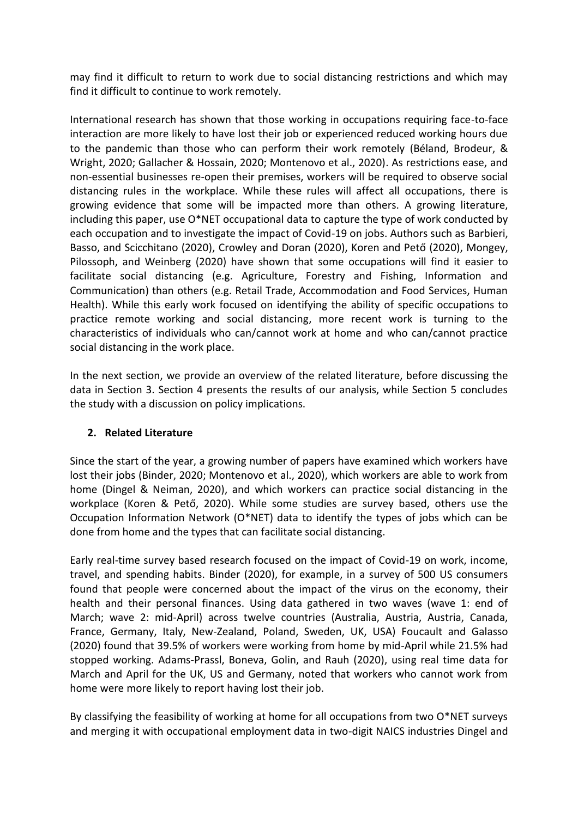may find it difficult to return to work due to social distancing restrictions and which may find it difficult to continue to work remotely.

International research has shown that those working in occupations requiring face-to-face interaction are more likely to have lost their job or experienced reduced working hours due to the pandemic than those who can perform their work remotely (Béland, Brodeur, & Wright, 2020; Gallacher & Hossain, 2020; Montenovo et al., 2020). As restrictions ease, and non-essential businesses re-open their premises, workers will be required to observe social distancing rules in the workplace. While these rules will affect all occupations, there is growing evidence that some will be impacted more than others. A growing literature, including this paper, use  $O^*$ NET occupational data to capture the type of work conducted by each occupation and to investigate the impact of Covid-19 on jobs. Authors such as Barbieri, Basso, and Scicchitano (2020), Crowley and Doran (2020), Koren and Pető (2020), Mongey, Pilossoph, and Weinberg (2020) have shown that some occupations will find it easier to facilitate social distancing (e.g. Agriculture, Forestry and Fishing, Information and Communication) than others (e.g. Retail Trade, Accommodation and Food Services, Human Health). While this early work focused on identifying the ability of specific occupations to practice remote working and social distancing, more recent work is turning to the characteristics of individuals who can/cannot work at home and who can/cannot practice social distancing in the work place.

In the next section, we provide an overview of the related literature, before discussing the data in Section 3. Section 4 presents the results of our analysis, while Section 5 concludes the study with a discussion on policy implications.

## **2. Related Literature**

Since the start of the year, a growing number of papers have examined which workers have lost their jobs (Binder, 2020; Montenovo et al., 2020), which workers are able to work from home (Dingel & Neiman, 2020), and which workers can practice social distancing in the workplace (Koren & Pető, 2020). While some studies are survey based, others use the Occupation Information Network (O\*NET) data to identify the types of jobs which can be done from home and the types that can facilitate social distancing.

Early real-time survey based research focused on the impact of Covid-19 on work, income, travel, and spending habits. Binder (2020), for example, in a survey of 500 US consumers found that people were concerned about the impact of the virus on the economy, their health and their personal finances. Using data gathered in two waves (wave 1: end of March; wave 2: mid-April) across twelve countries (Australia, Austria, Austria, Canada, France, Germany, Italy, New-Zealand, Poland, Sweden, UK, USA) Foucault and Galasso (2020) found that 39.5% of workers were working from home by mid-April while 21.5% had stopped working. Adams-Prassl, Boneva, Golin, and Rauh (2020), using real time data for March and April for the UK, US and Germany, noted that workers who cannot work from home were more likely to report having lost their job.

By classifying the feasibility of working at home for all occupations from two O\*NET surveys and merging it with occupational employment data in two-digit NAICS industries Dingel and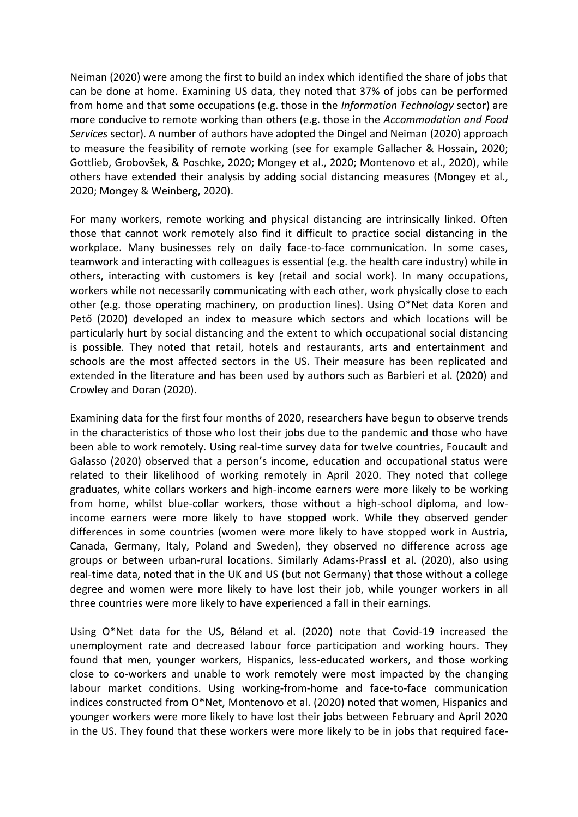Neiman (2020) were among the first to build an index which identified the share of jobs that can be done at home. Examining US data, they noted that 37% of jobs can be performed from home and that some occupations (e.g. those in the *Information Technology* sector) are more conducive to remote working than others (e.g. those in the *Accommodation and Food Services* sector). A number of authors have adopted the Dingel and Neiman (2020) approach to measure the feasibility of remote working (see for example Gallacher & Hossain, 2020; Gottlieb, Grobovšek, & Poschke, 2020; Mongey et al., 2020; Montenovo et al., 2020), while others have extended their analysis by adding social distancing measures (Mongey et al., 2020; Mongey & Weinberg, 2020).

For many workers, remote working and physical distancing are intrinsically linked. Often those that cannot work remotely also find it difficult to practice social distancing in the workplace. Many businesses rely on daily face-to-face communication. In some cases, teamwork and interacting with colleagues is essential (e.g. the health care industry) while in others, interacting with customers is key (retail and social work). In many occupations, workers while not necessarily communicating with each other, work physically close to each other (e.g. those operating machinery, on production lines). Using O\*Net data Koren and Pető (2020) developed an index to measure which sectors and which locations will be particularly hurt by social distancing and the extent to which occupational social distancing is possible. They noted that retail, hotels and restaurants, arts and entertainment and schools are the most affected sectors in the US. Their measure has been replicated and extended in the literature and has been used by authors such as Barbieri et al. (2020) and Crowley and Doran (2020).

Examining data for the first four months of 2020, researchers have begun to observe trends in the characteristics of those who lost their jobs due to the pandemic and those who have been able to work remotely. Using real-time survey data for twelve countries, Foucault and Galasso (2020) observed that a person's income, education and occupational status were related to their likelihood of working remotely in April 2020. They noted that college graduates, white collars workers and high-income earners were more likely to be working from home, whilst blue-collar workers, those without a high-school diploma, and lowincome earners were more likely to have stopped work. While they observed gender differences in some countries (women were more likely to have stopped work in Austria, Canada, Germany, Italy, Poland and Sweden), they observed no difference across age groups or between urban-rural locations. Similarly Adams-Prassl et al. (2020), also using real-time data, noted that in the UK and US (but not Germany) that those without a college degree and women were more likely to have lost their job, while younger workers in all three countries were more likely to have experienced a fall in their earnings.

Using O\*Net data for the US, Béland et al. (2020) note that Covid-19 increased the unemployment rate and decreased labour force participation and working hours. They found that men, younger workers, Hispanics, less-educated workers, and those working close to co-workers and unable to work remotely were most impacted by the changing labour market conditions. Using working-from-home and face-to-face communication indices constructed from O\*Net, Montenovo et al. (2020) noted that women, Hispanics and younger workers were more likely to have lost their jobs between February and April 2020 in the US. They found that these workers were more likely to be in jobs that required face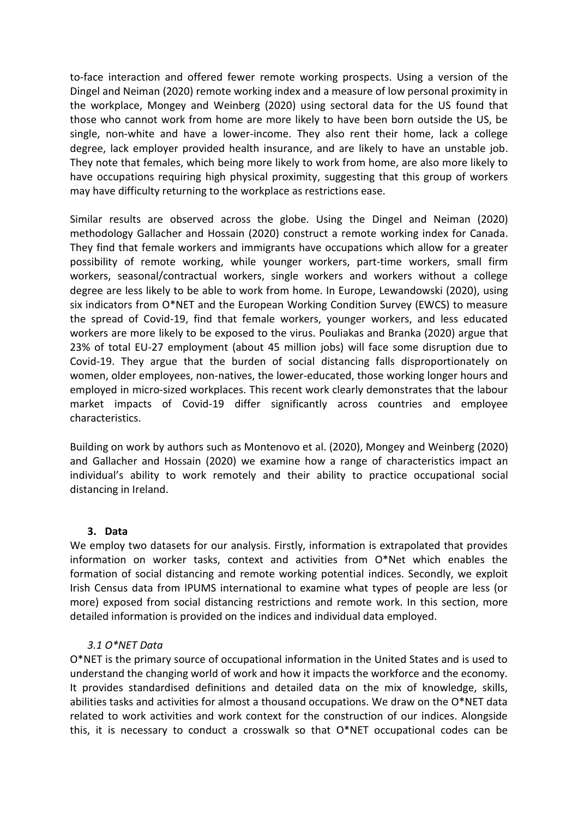to-face interaction and offered fewer remote working prospects. Using a version of the Dingel and Neiman (2020) remote working index and a measure of low personal proximity in the workplace, Mongey and Weinberg (2020) using sectoral data for the US found that those who cannot work from home are more likely to have been born outside the US, be single, non-white and have a lower-income. They also rent their home, lack a college degree, lack employer provided health insurance, and are likely to have an unstable job. They note that females, which being more likely to work from home, are also more likely to have occupations requiring high physical proximity, suggesting that this group of workers may have difficulty returning to the workplace as restrictions ease.

Similar results are observed across the globe. Using the Dingel and Neiman (2020) methodology Gallacher and Hossain (2020) construct a remote working index for Canada. They find that female workers and immigrants have occupations which allow for a greater possibility of remote working, while younger workers, part-time workers, small firm workers, seasonal/contractual workers, single workers and workers without a college degree are less likely to be able to work from home. In Europe, Lewandowski (2020), using six indicators from O\*NET and the European Working Condition Survey (EWCS) to measure the spread of Covid-19, find that female workers, younger workers, and less educated workers are more likely to be exposed to the virus. Pouliakas and Branka (2020) argue that 23% of total EU-27 employment (about 45 million jobs) will face some disruption due to Covid-19. They argue that the burden of social distancing falls disproportionately on women, older employees, non-natives, the lower-educated, those working longer hours and employed in micro-sized workplaces. This recent work clearly demonstrates that the labour market impacts of Covid-19 differ significantly across countries and employee characteristics.

Building on work by authors such as Montenovo et al. (2020), Mongey and Weinberg (2020) and Gallacher and Hossain (2020) we examine how a range of characteristics impact an individual's ability to work remotely and their ability to practice occupational social distancing in Ireland.

#### **3. Data**

We employ two datasets for our analysis. Firstly, information is extrapolated that provides information on worker tasks, context and activities from O\*Net which enables the formation of social distancing and remote working potential indices. Secondly, we exploit Irish Census data from IPUMS international to examine what types of people are less (or more) exposed from social distancing restrictions and remote work. In this section, more detailed information is provided on the indices and individual data employed.

#### *3.1 O\*NET Data*

O\*NET is the primary source of occupational information in the United States and is used to understand the changing world of work and how it impacts the workforce and the economy. It provides standardised definitions and detailed data on the mix of knowledge, skills, abilities tasks and activities for almost a thousand occupations. We draw on the O\*NET data related to work activities and work context for the construction of our indices. Alongside this, it is necessary to conduct a crosswalk so that O\*NET occupational codes can be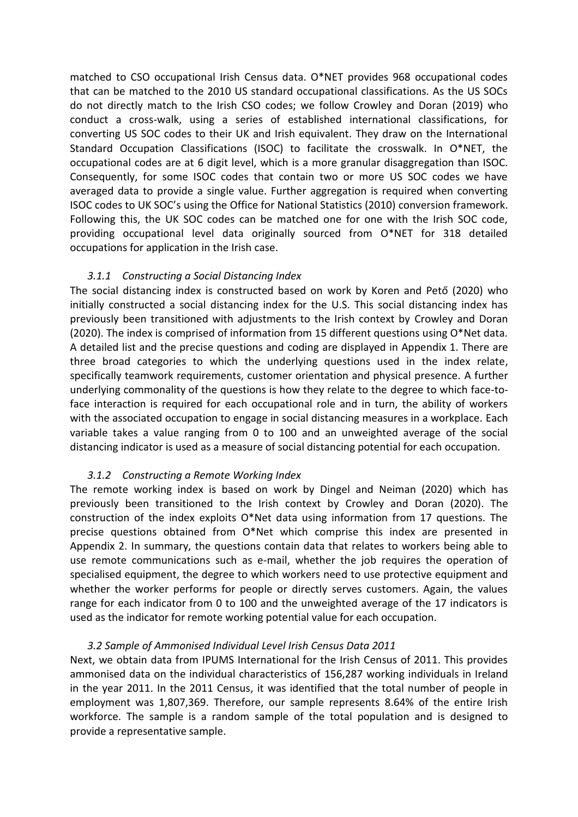matched to CSO occupational Irish Census data. O\*NET provides 968 occupational codes that can be matched to the 2010 US standard occupational classifications. As the US SOCs do not directly match to the Irish CSO codes; we follow Crowley and Doran (2019) who conduct a cross-walk, using a series of established international classifications, for converting US SOC codes to their UK and Irish equivalent. They draw on the International Standard Occupation Classifications (ISOC) to facilitate the crosswalk. In O\*NET, the occupational codes are at 6 digit level, which is a more granular disaggregation than ISOC. Consequently, for some ISOC codes that contain two or more US SOC codes we have averaged data to provide a single value. Further aggregation is required when converting ISOC codes to UK SOC's using the Office for National Statistics (2010) conversion framework. Following this, the UK SOC codes can be matched one for one with the Irish SOC code, providing occupational level data originally sourced from O\*NET for 318 detailed occupations for application in the Irish case.

#### *3.1.1 Constructing a Social Distancing Index*

The social distancing index is constructed based on work by Koren and Pető (2020) who initially constructed a social distancing index for the U.S. This social distancing index has previously been transitioned with adjustments to the Irish context by Crowley and Doran (2020). The index is comprised of information from 15 different questions using O\*Net data. A detailed list and the precise questions and coding are displayed in Appendix 1. There are three broad categories to which the underlying questions used in the index relate, specifically teamwork requirements, customer orientation and physical presence. A further underlying commonality of the questions is how they relate to the degree to which face-toface interaction is required for each occupational role and in turn, the ability of workers with the associated occupation to engage in social distancing measures in a workplace. Each variable takes a value ranging from 0 to 100 and an unweighted average of the social distancing indicator is used as a measure of social distancing potential for each occupation.

#### *3.1.2 Constructing a Remote Working Index*

The remote working index is based on work by Dingel and Neiman (2020) which has previously been transitioned to the Irish context by Crowley and Doran (2020). The construction of the index exploits O\*Net data using information from 17 questions. The precise questions obtained from O\*Net which comprise this index are presented in Appendix 2. In summary, the questions contain data that relates to workers being able to use remote communications such as e-mail, whether the job requires the operation of specialised equipment, the degree to which workers need to use protective equipment and whether the worker performs for people or directly serves customers. Again, the values range for each indicator from 0 to 100 and the unweighted average of the 17 indicators is used as the indicator for remote working potential value for each occupation.

#### *3.2 Sample of Ammonised Individual Level Irish Census Data 2011*

Next, we obtain data from IPUMS International for the Irish Census of 2011. This provides ammonised data on the individual characteristics of 156,287 working individuals in Ireland in the year 2011. In the 2011 Census, it was identified that the total number of people in employment was 1,807,369. Therefore, our sample represents 8.64% of the entire Irish workforce. The sample is a random sample of the total population and is designed to provide a representative sample.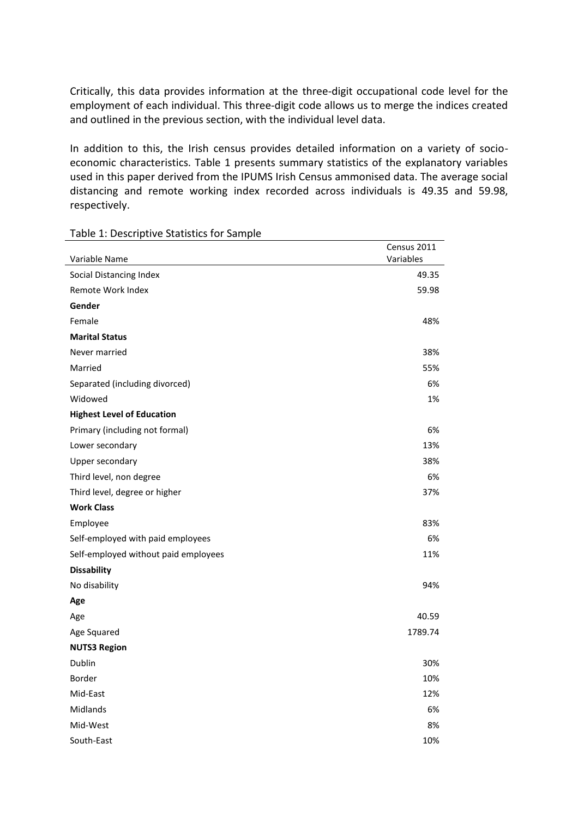Critically, this data provides information at the three-digit occupational code level for the employment of each individual. This three-digit code allows us to merge the indices created and outlined in the previous section, with the individual level data.

In addition to this, the Irish census provides detailed information on a variety of socioeconomic characteristics. Table 1 presents summary statistics of the explanatory variables used in this paper derived from the IPUMS Irish Census ammonised data. The average social distancing and remote working index recorded across individuals is 49.35 and 59.98, respectively.

| Variable Name                        | Census 2011<br>Variables |
|--------------------------------------|--------------------------|
| Social Distancing Index              | 49.35                    |
| Remote Work Index                    | 59.98                    |
| Gender                               |                          |
| Female                               | 48%                      |
| <b>Marital Status</b>                |                          |
| Never married                        | 38%                      |
| Married                              | 55%                      |
| Separated (including divorced)       | 6%                       |
| Widowed                              | 1%                       |
| <b>Highest Level of Education</b>    |                          |
| Primary (including not formal)       | 6%                       |
| Lower secondary                      | 13%                      |
| Upper secondary                      | 38%                      |
| Third level, non degree              | 6%                       |
| Third level, degree or higher        | 37%                      |
| <b>Work Class</b>                    |                          |
| Employee                             | 83%                      |
| Self-employed with paid employees    | 6%                       |
| Self-employed without paid employees | 11%                      |
| <b>Dissability</b>                   |                          |
| No disability                        | 94%                      |
| Age                                  |                          |
| Age                                  | 40.59                    |
| Age Squared                          | 1789.74                  |
| <b>NUTS3 Region</b>                  |                          |
| Dublin                               | 30%                      |
| <b>Border</b>                        | 10%                      |
| Mid-East                             | 12%                      |
| Midlands                             | 6%                       |
| Mid-West                             | 8%                       |
| South-East                           | 10%                      |

#### Table 1: Descriptive Statistics for Sample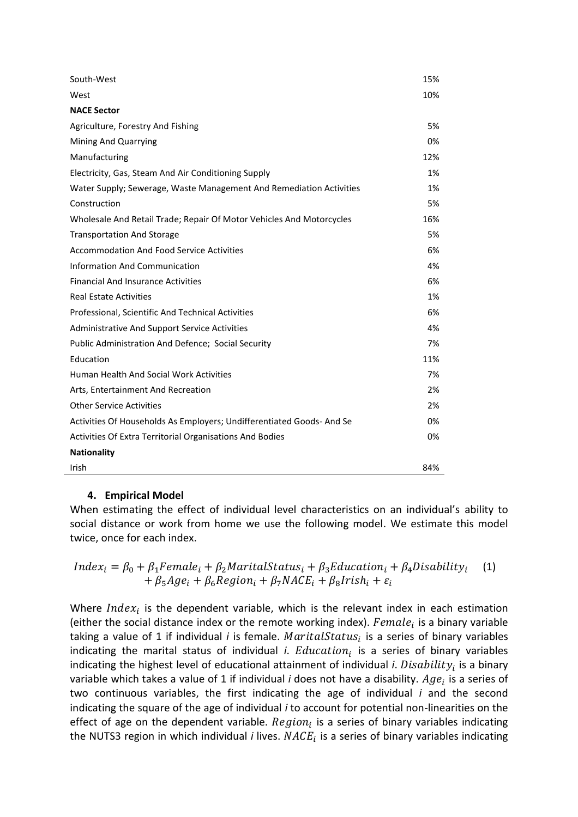| South-West                                                           | 15% |
|----------------------------------------------------------------------|-----|
| West                                                                 | 10% |
| <b>NACE Sector</b>                                                   |     |
| Agriculture, Forestry And Fishing                                    | 5%  |
| Mining And Quarrying                                                 | 0%  |
| Manufacturing                                                        | 12% |
| Electricity, Gas, Steam And Air Conditioning Supply                  | 1%  |
| Water Supply; Sewerage, Waste Management And Remediation Activities  | 1%  |
| Construction                                                         | 5%  |
| Wholesale And Retail Trade; Repair Of Motor Vehicles And Motorcycles | 16% |
| <b>Transportation And Storage</b>                                    | 5%  |
| <b>Accommodation And Food Service Activities</b>                     | 6%  |
| Information And Communication                                        | 4%  |
| <b>Financial And Insurance Activities</b>                            | 6%  |
| <b>Real Estate Activities</b>                                        | 1%  |
| Professional, Scientific And Technical Activities                    | 6%  |
| <b>Administrative And Support Service Activities</b>                 | 4%  |
| Public Administration And Defence; Social Security                   | 7%  |
| Education                                                            | 11% |
| <b>Human Health And Social Work Activities</b>                       | 7%  |
| Arts, Entertainment And Recreation                                   | 2%  |
| <b>Other Service Activities</b>                                      | 2%  |
| Activities Of Households As Employers; Undifferentiated Goods-And Se | 0%  |
| Activities Of Extra Territorial Organisations And Bodies             | 0%  |
| <b>Nationality</b>                                                   |     |
| Irish                                                                | 84% |

## **4. Empirical Model**

When estimating the effect of individual level characteristics on an individual's ability to social distance or work from home we use the following model. We estimate this model twice, once for each index.

$$
Index_i = \beta_0 + \beta_1 Female_i + \beta_2 MaritalStatus_i + \beta_3 Education_i + \beta_4 Disability_i \quad (1) + \beta_5 Age_i + \beta_6 Region_i + \beta_7 NACE_i + \beta_8 Irish_i + \varepsilon_i
$$

Where  $Index_i$  is the dependent variable, which is the relevant index in each estimation (either the social distance index or the remote working index).  $Female_i$  is a binary variable taking a value of 1 if individual *i* is female. *MaritalStatus<sub>i</sub>* is a series of binary variables indicating the marital status of individual *i. Education<sub>i</sub>* is a series of binary variables indicating the highest level of educational attainment of individual *i. Disability<sub>i</sub>* is a binary variable which takes a value of 1 if individual *i* does not have a disability.  $Age_i$  is a series of two continuous variables, the first indicating the age of individual *i* and the second indicating the square of the age of individual *i* to account for potential non-linearities on the effect of age on the dependent variable.  $Region<sub>i</sub>$  is a series of binary variables indicating the NUTS3 region in which individual *i* lives.  $NACE<sub>i</sub>$  is a series of binary variables indicating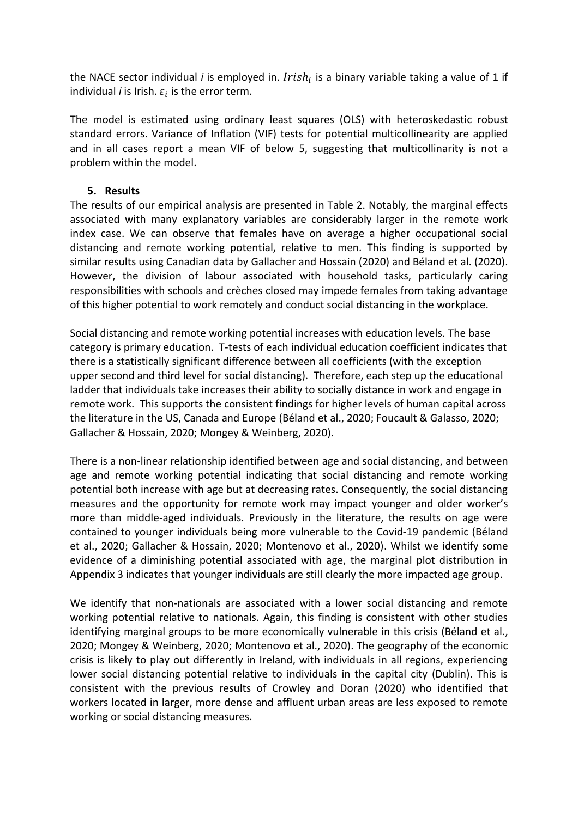the NACE sector individual *i* is employed in. *Irish<sub>i</sub>* is a binary variable taking a value of 1 if individual *i* is Irish.  $\varepsilon_{i}$  is the error term.

The model is estimated using ordinary least squares (OLS) with heteroskedastic robust standard errors. Variance of Inflation (VIF) tests for potential multicollinearity are applied and in all cases report a mean VIF of below 5, suggesting that multicollinarity is not a problem within the model.

#### **5. Results**

The results of our empirical analysis are presented in Table 2. Notably, the marginal effects associated with many explanatory variables are considerably larger in the remote work index case. We can observe that females have on average a higher occupational social distancing and remote working potential, relative to men. This finding is supported by similar results using Canadian data by Gallacher and Hossain (2020) and Béland et al. (2020). However, the division of labour associated with household tasks, particularly caring responsibilities with schools and crèches closed may impede females from taking advantage of this higher potential to work remotely and conduct social distancing in the workplace.

Social distancing and remote working potential increases with education levels. The base category is primary education. T-tests of each individual education coefficient indicates that there is a statistically significant difference between all coefficients (with the exception upper second and third level for social distancing). Therefore, each step up the educational ladder that individuals take increases their ability to socially distance in work and engage in remote work. This supports the consistent findings for higher levels of human capital across the literature in the US, Canada and Europe (Béland et al., 2020; Foucault & Galasso, 2020; Gallacher & Hossain, 2020; Mongey & Weinberg, 2020).

There is a non-linear relationship identified between age and social distancing, and between age and remote working potential indicating that social distancing and remote working potential both increase with age but at decreasing rates. Consequently, the social distancing measures and the opportunity for remote work may impact younger and older worker's more than middle-aged individuals. Previously in the literature, the results on age were contained to younger individuals being more vulnerable to the Covid-19 pandemic (Béland et al., 2020; Gallacher & Hossain, 2020; Montenovo et al., 2020). Whilst we identify some evidence of a diminishing potential associated with age, the marginal plot distribution in Appendix 3 indicates that younger individuals are still clearly the more impacted age group.

We identify that non-nationals are associated with a lower social distancing and remote working potential relative to nationals. Again, this finding is consistent with other studies identifying marginal groups to be more economically vulnerable in this crisis (Béland et al., 2020; Mongey & Weinberg, 2020; Montenovo et al., 2020). The geography of the economic crisis is likely to play out differently in Ireland, with individuals in all regions, experiencing lower social distancing potential relative to individuals in the capital city (Dublin). This is consistent with the previous results of Crowley and Doran (2020) who identified that workers located in larger, more dense and affluent urban areas are less exposed to remote working or social distancing measures.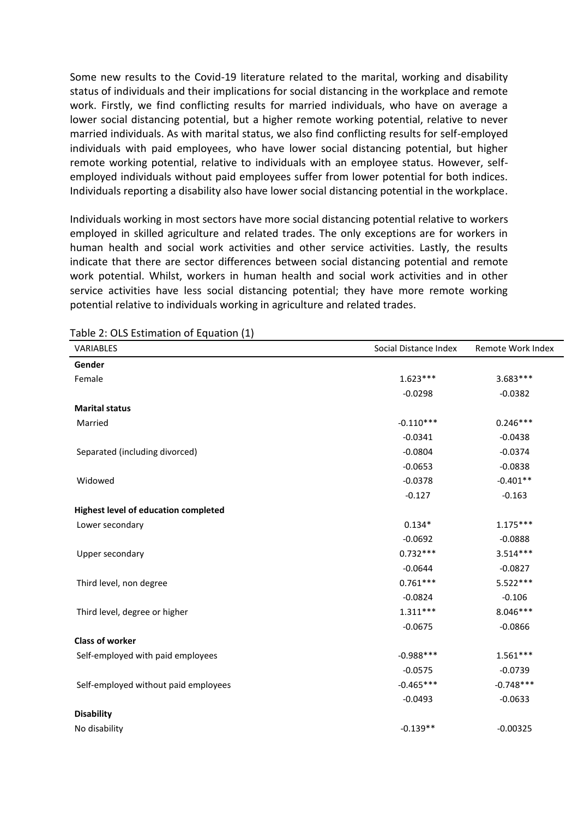Some new results to the Covid-19 literature related to the marital, working and disability status of individuals and their implications for social distancing in the workplace and remote work. Firstly, we find conflicting results for married individuals, who have on average a lower social distancing potential, but a higher remote working potential, relative to never married individuals. As with marital status, we also find conflicting results for self-employed individuals with paid employees, who have lower social distancing potential, but higher remote working potential, relative to individuals with an employee status. However, selfemployed individuals without paid employees suffer from lower potential for both indices. Individuals reporting a disability also have lower social distancing potential in the workplace.

Individuals working in most sectors have more social distancing potential relative to workers employed in skilled agriculture and related trades. The only exceptions are for workers in human health and social work activities and other service activities. Lastly, the results indicate that there are sector differences between social distancing potential and remote work potential. Whilst, workers in human health and social work activities and in other service activities have less social distancing potential; they have more remote working potential relative to individuals working in agriculture and related trades.

| VARIABLES                                   | Social Distance Index | Remote Work Index |
|---------------------------------------------|-----------------------|-------------------|
| Gender                                      |                       |                   |
| Female                                      | $1.623***$            | $3.683***$        |
|                                             | $-0.0298$             | $-0.0382$         |
| <b>Marital status</b>                       |                       |                   |
| Married                                     | $-0.110***$           | $0.246***$        |
|                                             | $-0.0341$             | $-0.0438$         |
| Separated (including divorced)              | $-0.0804$             | $-0.0374$         |
|                                             | $-0.0653$             | $-0.0838$         |
| Widowed                                     | $-0.0378$             | $-0.401**$        |
|                                             | $-0.127$              | $-0.163$          |
| <b>Highest level of education completed</b> |                       |                   |
| Lower secondary                             | $0.134*$              | $1.175***$        |
|                                             | $-0.0692$             | $-0.0888$         |
| Upper secondary                             | $0.732***$            | $3.514***$        |
|                                             | $-0.0644$             | $-0.0827$         |
| Third level, non degree                     | $0.761***$            | $5.522***$        |
|                                             | $-0.0824$             | $-0.106$          |
| Third level, degree or higher               | $1.311***$            | $8.046***$        |
|                                             | $-0.0675$             | $-0.0866$         |
| <b>Class of worker</b>                      |                       |                   |
| Self-employed with paid employees           | $-0.988***$           | $1.561***$        |
|                                             | $-0.0575$             | $-0.0739$         |
| Self-employed without paid employees        | $-0.465***$           | $-0.748***$       |
|                                             | $-0.0493$             | $-0.0633$         |
| <b>Disability</b>                           |                       |                   |
| No disability                               | $-0.139**$            | $-0.00325$        |

Table 2: OLS Estimation of Equation (1)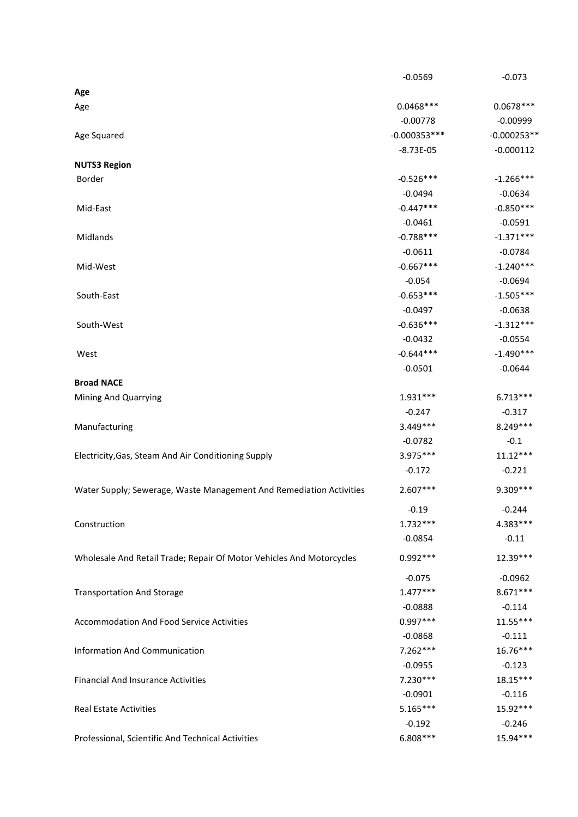|                                                                      | $-0.0569$      | $-0.073$             |
|----------------------------------------------------------------------|----------------|----------------------|
| Age                                                                  |                |                      |
| Age                                                                  | $0.0468***$    | $0.0678***$          |
|                                                                      | $-0.00778$     | $-0.00999$           |
| Age Squared                                                          | $-0.000353***$ | $-0.000253**$        |
|                                                                      | $-8.73E-05$    | $-0.000112$          |
| <b>NUTS3 Region</b>                                                  |                |                      |
| Border                                                               | $-0.526***$    | $-1.266***$          |
|                                                                      | $-0.0494$      | $-0.0634$            |
| Mid-East                                                             | $-0.447***$    | $-0.850***$          |
|                                                                      | $-0.0461$      | $-0.0591$            |
| Midlands                                                             | $-0.788***$    | $-1.371***$          |
|                                                                      | $-0.0611$      | $-0.0784$            |
| Mid-West                                                             | $-0.667***$    | $-1.240***$          |
|                                                                      | $-0.054$       | $-0.0694$            |
| South-East                                                           | $-0.653***$    | $-1.505***$          |
|                                                                      | $-0.0497$      | $-0.0638$            |
| South-West                                                           | $-0.636***$    | $-1.312***$          |
|                                                                      | $-0.0432$      | $-0.0554$            |
| West                                                                 | $-0.644***$    | $-1.490***$          |
|                                                                      | $-0.0501$      | $-0.0644$            |
| <b>Broad NACE</b>                                                    |                |                      |
| Mining And Quarrying                                                 | $1.931***$     | $6.713***$           |
|                                                                      | $-0.247$       | $-0.317$             |
| Manufacturing                                                        | $3.449***$     | 8.249***             |
|                                                                      | $-0.0782$      | $-0.1$               |
| Electricity, Gas, Steam And Air Conditioning Supply                  | 3.975 ***      | $11.12***$           |
|                                                                      | $-0.172$       | $-0.221$             |
| Water Supply; Sewerage, Waste Management And Remediation Activities  | $2.607***$     | 9.309 ***            |
|                                                                      | $-0.19$        | $-0.244$             |
| Construction                                                         | $1.732***$     | 4.383***             |
|                                                                      | $-0.0854$      | $-0.11$              |
| Wholesale And Retail Trade; Repair Of Motor Vehicles And Motorcycles | $0.992***$     | 12.39***             |
|                                                                      | $-0.075$       | $-0.0962$            |
| <b>Transportation And Storage</b>                                    | $1.477***$     | $8.671***$           |
|                                                                      | $-0.0888$      | $-0.114$             |
| <b>Accommodation And Food Service Activities</b>                     | $0.997***$     | $11.55***$           |
|                                                                      | $-0.0868$      | $-0.111$             |
| <b>Information And Communication</b>                                 | $7.262***$     | 16.76***             |
|                                                                      |                |                      |
|                                                                      | $-0.0955$      | $-0.123$<br>18.15*** |
| <b>Financial And Insurance Activities</b>                            | $7.230***$     |                      |
|                                                                      | $-0.0901$      | $-0.116$             |
| <b>Real Estate Activities</b>                                        | $5.165***$     | 15.92***             |
|                                                                      | $-0.192$       | $-0.246$             |
| Professional, Scientific And Technical Activities                    | $6.808***$     | 15.94***             |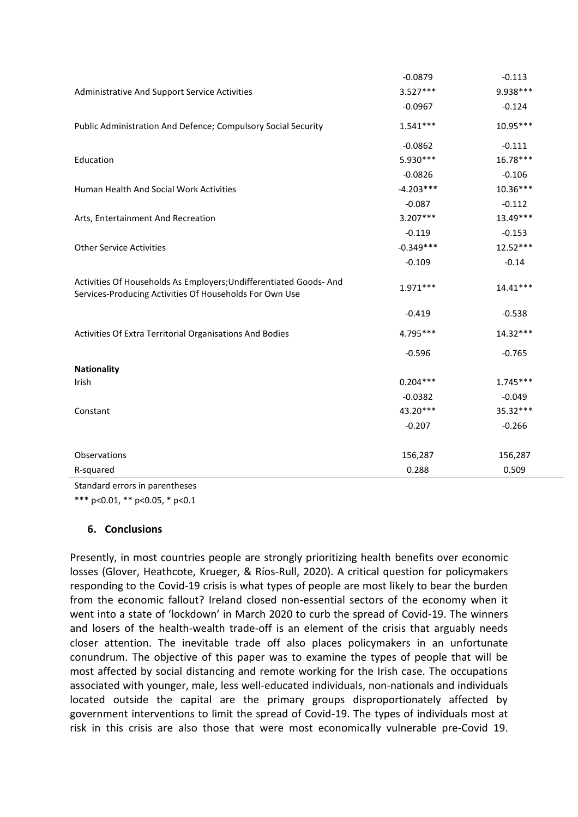|                                                                                                                              | $-0.0879$   | $-0.113$   |
|------------------------------------------------------------------------------------------------------------------------------|-------------|------------|
| Administrative And Support Service Activities                                                                                | $3.527***$  | 9.938 ***  |
|                                                                                                                              | $-0.0967$   | $-0.124$   |
| Public Administration And Defence; Compulsory Social Security                                                                | $1.541***$  | $10.95***$ |
|                                                                                                                              | $-0.0862$   | $-0.111$   |
| Education                                                                                                                    | 5.930 ***   | $16.78***$ |
|                                                                                                                              | $-0.0826$   | $-0.106$   |
| Human Health And Social Work Activities                                                                                      | $-4.203***$ | $10.36***$ |
|                                                                                                                              | $-0.087$    | $-0.112$   |
| Arts, Entertainment And Recreation                                                                                           | $3.207***$  | 13.49***   |
|                                                                                                                              | $-0.119$    | $-0.153$   |
| <b>Other Service Activities</b>                                                                                              | $-0.349***$ | $12.52***$ |
|                                                                                                                              | $-0.109$    | $-0.14$    |
| Activities Of Households As Employers; Undifferentiated Goods-And<br>Services-Producing Activities Of Households For Own Use | $1.971***$  | $14.41***$ |
|                                                                                                                              | $-0.419$    | $-0.538$   |
| Activities Of Extra Territorial Organisations And Bodies                                                                     | 4.795***    | $14.32***$ |
|                                                                                                                              | $-0.596$    | $-0.765$   |
| <b>Nationality</b>                                                                                                           |             |            |
| Irish                                                                                                                        | $0.204***$  | $1.745***$ |
|                                                                                                                              | $-0.0382$   | $-0.049$   |
| Constant                                                                                                                     | 43.20***    | 35.32***   |
|                                                                                                                              | $-0.207$    | $-0.266$   |
| Observations                                                                                                                 | 156,287     | 156,287    |
| R-squared                                                                                                                    | 0.288       | 0.509      |
|                                                                                                                              |             |            |

Standard errors in parentheses

\*\*\* p<0.01, \*\* p<0.05, \* p<0.1

#### **6. Conclusions**

Presently, in most countries people are strongly prioritizing health benefits over economic losses (Glover, Heathcote, Krueger, & Ríos-Rull, 2020). A critical question for policymakers responding to the Covid-19 crisis is what types of people are most likely to bear the burden from the economic fallout? Ireland closed non-essential sectors of the economy when it went into a state of 'lockdown' in March 2020 to curb the spread of Covid-19. The winners and losers of the health-wealth trade-off is an element of the crisis that arguably needs closer attention. The inevitable trade off also places policymakers in an unfortunate conundrum. The objective of this paper was to examine the types of people that will be most affected by social distancing and remote working for the Irish case. The occupations associated with younger, male, less well-educated individuals, non-nationals and individuals located outside the capital are the primary groups disproportionately affected by government interventions to limit the spread of Covid-19. The types of individuals most at risk in this crisis are also those that were most economically vulnerable pre-Covid 19.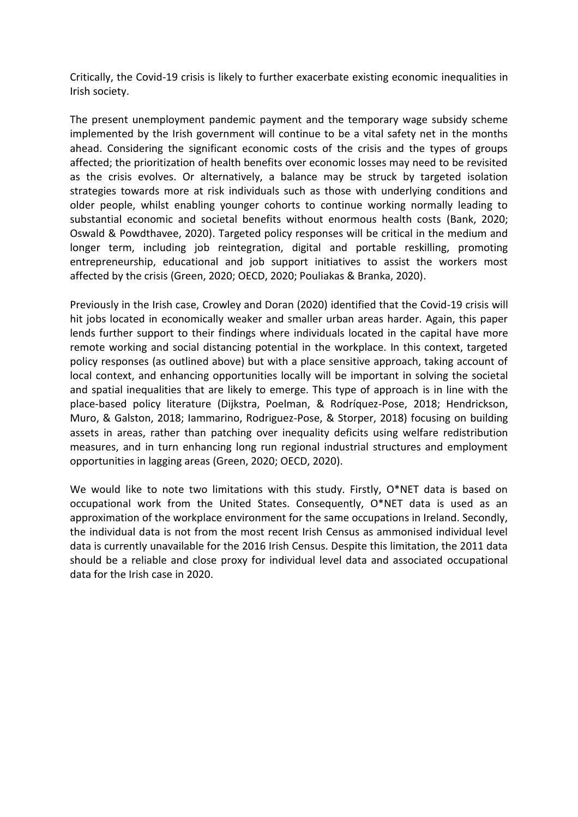Critically, the Covid-19 crisis is likely to further exacerbate existing economic inequalities in Irish society.

The present unemployment pandemic payment and the temporary wage subsidy scheme implemented by the Irish government will continue to be a vital safety net in the months ahead. Considering the significant economic costs of the crisis and the types of groups affected; the prioritization of health benefits over economic losses may need to be revisited as the crisis evolves. Or alternatively, a balance may be struck by targeted isolation strategies towards more at risk individuals such as those with underlying conditions and older people, whilst enabling younger cohorts to continue working normally leading to substantial economic and societal benefits without enormous health costs (Bank, 2020; Oswald & Powdthavee, 2020). Targeted policy responses will be critical in the medium and longer term, including job reintegration, digital and portable reskilling, promoting entrepreneurship, educational and job support initiatives to assist the workers most affected by the crisis (Green, 2020; OECD, 2020; Pouliakas & Branka, 2020).

Previously in the Irish case, Crowley and Doran (2020) identified that the Covid-19 crisis will hit jobs located in economically weaker and smaller urban areas harder. Again, this paper lends further support to their findings where individuals located in the capital have more remote working and social distancing potential in the workplace. In this context, targeted policy responses (as outlined above) but with a place sensitive approach, taking account of local context, and enhancing opportunities locally will be important in solving the societal and spatial inequalities that are likely to emerge. This type of approach is in line with the place-based policy literature (Dijkstra, Poelman, & Rodríquez-Pose, 2018; Hendrickson, Muro, & Galston, 2018; Iammarino, Rodriguez-Pose, & Storper, 2018) focusing on building assets in areas, rather than patching over inequality deficits using welfare redistribution measures, and in turn enhancing long run regional industrial structures and employment opportunities in lagging areas (Green, 2020; OECD, 2020).

We would like to note two limitations with this study. Firstly, O\*NET data is based on occupational work from the United States. Consequently, O\*NET data is used as an approximation of the workplace environment for the same occupations in Ireland. Secondly, the individual data is not from the most recent Irish Census as ammonised individual level data is currently unavailable for the 2016 Irish Census. Despite this limitation, the 2011 data should be a reliable and close proxy for individual level data and associated occupational data for the Irish case in 2020.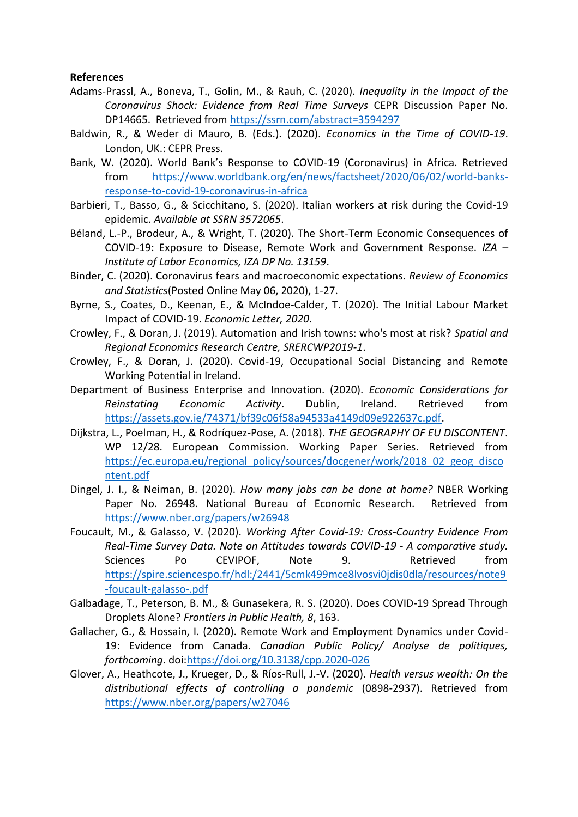#### **References**

- Adams-Prassl, A., Boneva, T., Golin, M., & Rauh, C. (2020). *Inequality in the Impact of the Coronavirus Shock: Evidence from Real Time Surveys* CEPR Discussion Paper No. DP14665. Retrieved from<https://ssrn.com/abstract=3594297>
- Baldwin, R., & Weder di Mauro, B. (Eds.). (2020). *Economics in the Time of COVID-19*. London, UK.: CEPR Press.
- Bank, W. (2020). World Bank's Response to COVID-19 (Coronavirus) in Africa. Retrieved from [https://www.worldbank.org/en/news/factsheet/2020/06/02/world-banks](https://www.worldbank.org/en/news/factsheet/2020/06/02/world-banks-response-to-covid-19-coronavirus-in-africa)[response-to-covid-19-coronavirus-in-africa](https://www.worldbank.org/en/news/factsheet/2020/06/02/world-banks-response-to-covid-19-coronavirus-in-africa)
- Barbieri, T., Basso, G., & Scicchitano, S. (2020). Italian workers at risk during the Covid-19 epidemic. *Available at SSRN 3572065*.
- Béland, L.-P., Brodeur, A., & Wright, T. (2020). The Short-Term Economic Consequences of COVID-19: Exposure to Disease, Remote Work and Government Response. *IZA – Institute of Labor Economics, IZA DP No. 13159*.
- Binder, C. (2020). Coronavirus fears and macroeconomic expectations. *Review of Economics and Statistics*(Posted Online May 06, 2020), 1-27.
- Byrne, S., Coates, D., Keenan, E., & McIndoe-Calder, T. (2020). The Initial Labour Market Impact of COVID-19. *Economic Letter, 2020*.
- Crowley, F., & Doran, J. (2019). Automation and Irish towns: who's most at risk? *Spatial and Regional Economics Research Centre, SRERCWP2019-1*.
- Crowley, F., & Doran, J. (2020). Covid-19, Occupational Social Distancing and Remote Working Potential in Ireland.
- Department of Business Enterprise and Innovation. (2020). *Economic Considerations for Reinstating Economic Activity*. Dublin, Ireland. Retrieved from [https://assets.gov.ie/74371/bf39c06f58a94533a4149d09e922637c.pdf.](https://assets.gov.ie/74371/bf39c06f58a94533a4149d09e922637c.pdf)
- Dijkstra, L., Poelman, H., & Rodríquez-Pose, A. (2018). *THE GEOGRAPHY OF EU DISCONTENT*. WP 12/28. European Commission. Working Paper Series. Retrieved from [https://ec.europa.eu/regional\\_policy/sources/docgener/work/2018\\_02\\_geog\\_disco](https://ec.europa.eu/regional_policy/sources/docgener/work/2018_02_geog_discontent.pdf) [ntent.pdf](https://ec.europa.eu/regional_policy/sources/docgener/work/2018_02_geog_discontent.pdf)
- Dingel, J. I., & Neiman, B. (2020). *How many jobs can be done at home?* NBER Working Paper No. 26948. National Bureau of Economic Research. Retrieved from <https://www.nber.org/papers/w26948>
- Foucault, M., & Galasso, V. (2020). *Working After Covid-19: Cross-Country Evidence From Real-Time Survey Data. Note on Attitudes towards COVID-19 - A comparative study.* Sciences Po CEVIPOF, Note 9. Retrieved from [https://spire.sciencespo.fr/hdl:/2441/5cmk499mce8lvosvi0jdis0dla/resources/note9](https://spire.sciencespo.fr/hdl:/2441/5cmk499mce8lvosvi0jdis0dla/resources/note9-foucault-galasso-.pdf) [-foucault-galasso-.pdf](https://spire.sciencespo.fr/hdl:/2441/5cmk499mce8lvosvi0jdis0dla/resources/note9-foucault-galasso-.pdf)
- Galbadage, T., Peterson, B. M., & Gunasekera, R. S. (2020). Does COVID-19 Spread Through Droplets Alone? *Frontiers in Public Health, 8*, 163.
- Gallacher, G., & Hossain, I. (2020). Remote Work and Employment Dynamics under Covid-19: Evidence from Canada. *Canadian Public Policy/ Analyse de politiques, forthcoming*. doi[:https://doi.org/10.3138/cpp.2020-026](https://doi.org/10.3138/cpp.2020-026)
- Glover, A., Heathcote, J., Krueger, D., & Ríos-Rull, J.-V. (2020). *Health versus wealth: On the distributional effects of controlling a pandemic* (0898-2937). Retrieved from <https://www.nber.org/papers/w27046>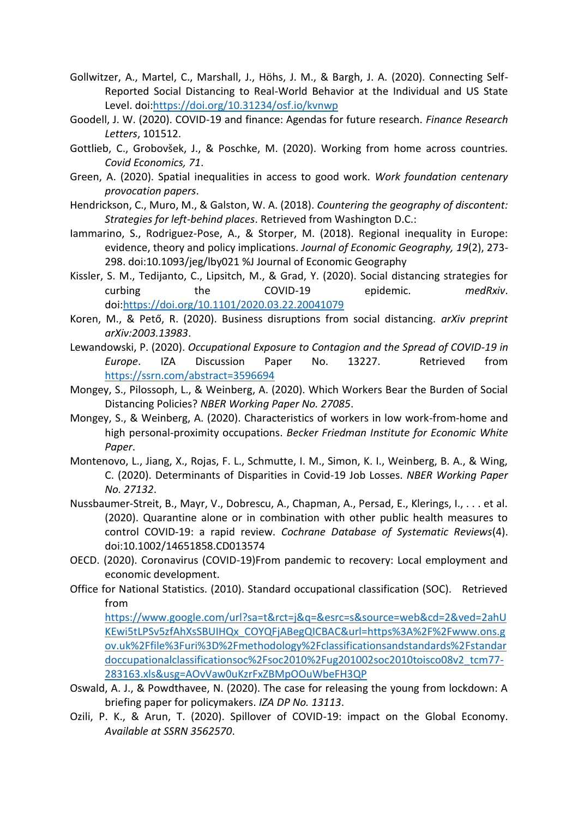- Gollwitzer, A., Martel, C., Marshall, J., Höhs, J. M., & Bargh, J. A. (2020). Connecting Self-Reported Social Distancing to Real-World Behavior at the Individual and US State Level. doi[:https://doi.org/10.31234/osf.io/kvnwp](https://doi.org/10.31234/osf.io/kvnwp)
- Goodell, J. W. (2020). COVID-19 and finance: Agendas for future research. *Finance Research Letters*, 101512.
- Gottlieb, C., Grobovšek, J., & Poschke, M. (2020). Working from home across countries. *Covid Economics, 71*.
- Green, A. (2020). Spatial inequalities in access to good work. *Work foundation centenary provocation papers*.
- Hendrickson, C., Muro, M., & Galston, W. A. (2018). *Countering the geography of discontent: Strategies for left-behind places*. Retrieved from Washington D.C.:
- Iammarino, S., Rodriguez-Pose, A., & Storper, M. (2018). Regional inequality in Europe: evidence, theory and policy implications. *Journal of Economic Geography, 19*(2), 273- 298. doi:10.1093/jeg/lby021 %J Journal of Economic Geography
- Kissler, S. M., Tedijanto, C., Lipsitch, M., & Grad, Y. (2020). Social distancing strategies for curbing the COVID-19 epidemic. *medRxiv*. doi[:https://doi.org/10.1101/2020.03.22.20041079](https://doi.org/10.1101/2020.03.22.20041079)
- Koren, M., & Pető, R. (2020). Business disruptions from social distancing. *arXiv preprint arXiv:2003.13983*.
- Lewandowski, P. (2020). *Occupational Exposure to Contagion and the Spread of COVID-19 in Europe*. IZA Discussion Paper No. 13227. Retrieved from <https://ssrn.com/abstract=3596694>
- Mongey, S., Pilossoph, L., & Weinberg, A. (2020). Which Workers Bear the Burden of Social Distancing Policies? *NBER Working Paper No. 27085*.
- Mongey, S., & Weinberg, A. (2020). Characteristics of workers in low work-from-home and high personal-proximity occupations. *Becker Friedman Institute for Economic White Paper*.
- Montenovo, L., Jiang, X., Rojas, F. L., Schmutte, I. M., Simon, K. I., Weinberg, B. A., & Wing, C. (2020). Determinants of Disparities in Covid-19 Job Losses. *NBER Working Paper No. 27132*.
- Nussbaumer-Streit, B., Mayr, V., Dobrescu, A., Chapman, A., Persad, E., Klerings, I., . . . et al. (2020). Quarantine alone or in combination with other public health measures to control COVID‐19: a rapid review. *Cochrane Database of Systematic Reviews*(4). doi:10.1002/14651858.CD013574
- OECD. (2020). Coronavirus (COVID-19)From pandemic to recovery: Local employment and economic development.
- Office for National Statistics. (2010). Standard occupational classification (SOC). Retrieved from

[https://www.google.com/url?sa=t&rct=j&q=&esrc=s&source=web&cd=2&ved=2ahU](https://www.google.com/url?sa=t&rct=j&q=&esrc=s&source=web&cd=2&ved=2ahUKEwi5tLPSv5zfAhXsSBUIHQx_COYQFjABegQICBAC&url=https%3A%2F%2Fwww.ons.gov.uk%2Ffile%3Furi%3D%2Fmethodology%2Fclassificationsandstandards%2Fstandardoccupationalclassificationsoc%2Fsoc2010%2Fug201002soc2010toisco08v2_tcm77-283163.xls&usg=AOvVaw0uKzrFxZBMpOOuWbeFH3QP) [KEwi5tLPSv5zfAhXsSBUIHQx\\_COYQFjABegQICBAC&url=https%3A%2F%2Fwww.ons.g](https://www.google.com/url?sa=t&rct=j&q=&esrc=s&source=web&cd=2&ved=2ahUKEwi5tLPSv5zfAhXsSBUIHQx_COYQFjABegQICBAC&url=https%3A%2F%2Fwww.ons.gov.uk%2Ffile%3Furi%3D%2Fmethodology%2Fclassificationsandstandards%2Fstandardoccupationalclassificationsoc%2Fsoc2010%2Fug201002soc2010toisco08v2_tcm77-283163.xls&usg=AOvVaw0uKzrFxZBMpOOuWbeFH3QP) [ov.uk%2Ffile%3Furi%3D%2Fmethodology%2Fclassificationsandstandards%2Fstandar](https://www.google.com/url?sa=t&rct=j&q=&esrc=s&source=web&cd=2&ved=2ahUKEwi5tLPSv5zfAhXsSBUIHQx_COYQFjABegQICBAC&url=https%3A%2F%2Fwww.ons.gov.uk%2Ffile%3Furi%3D%2Fmethodology%2Fclassificationsandstandards%2Fstandardoccupationalclassificationsoc%2Fsoc2010%2Fug201002soc2010toisco08v2_tcm77-283163.xls&usg=AOvVaw0uKzrFxZBMpOOuWbeFH3QP) [doccupationalclassificationsoc%2Fsoc2010%2Fug201002soc2010toisco08v2\\_tcm77-](https://www.google.com/url?sa=t&rct=j&q=&esrc=s&source=web&cd=2&ved=2ahUKEwi5tLPSv5zfAhXsSBUIHQx_COYQFjABegQICBAC&url=https%3A%2F%2Fwww.ons.gov.uk%2Ffile%3Furi%3D%2Fmethodology%2Fclassificationsandstandards%2Fstandardoccupationalclassificationsoc%2Fsoc2010%2Fug201002soc2010toisco08v2_tcm77-283163.xls&usg=AOvVaw0uKzrFxZBMpOOuWbeFH3QP) [283163.xls&usg=AOvVaw0uKzrFxZBMpOOuWbeFH3QP](https://www.google.com/url?sa=t&rct=j&q=&esrc=s&source=web&cd=2&ved=2ahUKEwi5tLPSv5zfAhXsSBUIHQx_COYQFjABegQICBAC&url=https%3A%2F%2Fwww.ons.gov.uk%2Ffile%3Furi%3D%2Fmethodology%2Fclassificationsandstandards%2Fstandardoccupationalclassificationsoc%2Fsoc2010%2Fug201002soc2010toisco08v2_tcm77-283163.xls&usg=AOvVaw0uKzrFxZBMpOOuWbeFH3QP)

- Oswald, A. J., & Powdthavee, N. (2020). The case for releasing the young from lockdown: A briefing paper for policymakers. *IZA DP No. 13113*.
- Ozili, P. K., & Arun, T. (2020). Spillover of COVID-19: impact on the Global Economy. *Available at SSRN 3562570*.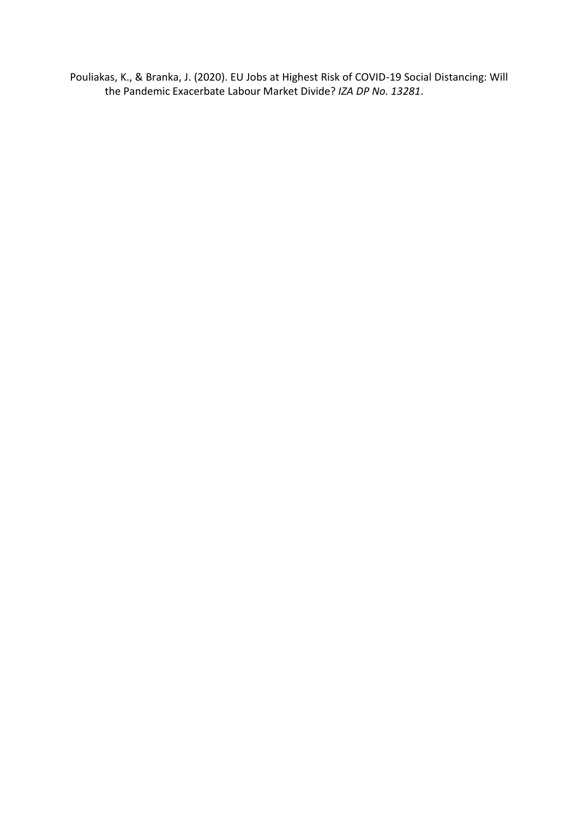Pouliakas, K., & Branka, J. (2020). EU Jobs at Highest Risk of COVID-19 Social Distancing: Will the Pandemic Exacerbate Labour Market Divide? *IZA DP No. 13281*.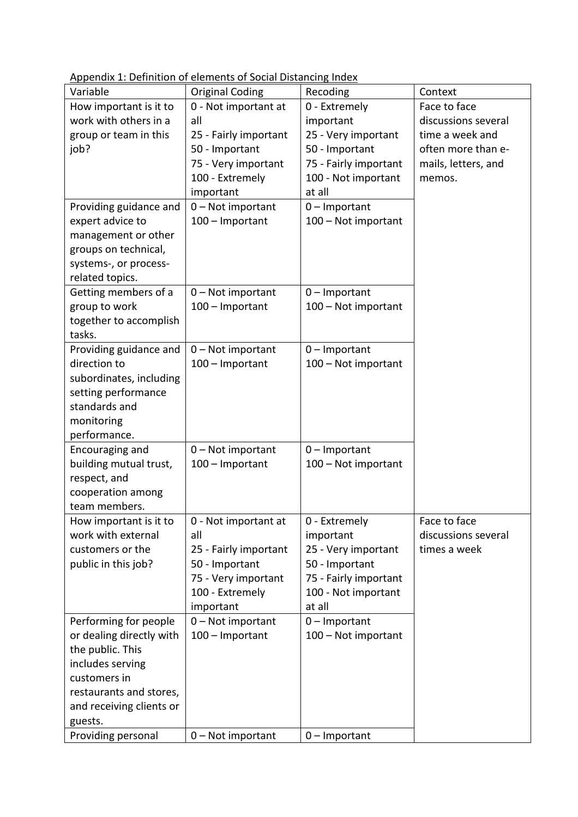Appendix 1: Definition of elements of Social Distancing Index

| Variable                 | <b>Original Coding</b> | Recoding              | Context             |
|--------------------------|------------------------|-----------------------|---------------------|
| How important is it to   | 0 - Not important at   | 0 - Extremely         | Face to face        |
| work with others in a    | all                    | important             | discussions several |
| group or team in this    | 25 - Fairly important  | 25 - Very important   | time a week and     |
| job?                     | 50 - Important         | 50 - Important        | often more than e-  |
|                          | 75 - Very important    | 75 - Fairly important | mails, letters, and |
|                          | 100 - Extremely        | 100 - Not important   | memos.              |
|                          | important              | at all                |                     |
| Providing guidance and   | 0 - Not important      | $0$ – Important       |                     |
| expert advice to         | 100 - Important        | 100 - Not important   |                     |
| management or other      |                        |                       |                     |
| groups on technical,     |                        |                       |                     |
| systems-, or process-    |                        |                       |                     |
| related topics.          |                        |                       |                     |
| Getting members of a     | 0 - Not important      | $0$ – Important       |                     |
| group to work            | 100 - Important        | 100 - Not important   |                     |
| together to accomplish   |                        |                       |                     |
| tasks.                   |                        |                       |                     |
| Providing guidance and   | 0 - Not important      | $0$ – Important       |                     |
| direction to             | 100 - Important        | 100 - Not important   |                     |
| subordinates, including  |                        |                       |                     |
| setting performance      |                        |                       |                     |
| standards and            |                        |                       |                     |
| monitoring               |                        |                       |                     |
| performance.             |                        |                       |                     |
| Encouraging and          | $0$ – Not important    | $0$ – Important       |                     |
| building mutual trust,   | 100 - Important        | 100 - Not important   |                     |
| respect, and             |                        |                       |                     |
| cooperation among        |                        |                       |                     |
| team members.            |                        |                       |                     |
| How important is it to   | 0 - Not important at   | 0 - Extremely         | Face to face        |
| work with external       | all                    | important             | discussions several |
| customers or the         | 25 - Fairly important  | 25 - Very important   | times a week        |
| public in this job?      | 50 - Important         | 50 - Important        |                     |
|                          | 75 - Very important    | 75 - Fairly important |                     |
|                          | 100 - Extremely        | 100 - Not important   |                     |
|                          | important              | at all                |                     |
| Performing for people    | 0 - Not important      | $0$ – Important       |                     |
| or dealing directly with | 100 - Important        | 100 - Not important   |                     |
| the public. This         |                        |                       |                     |
| includes serving         |                        |                       |                     |
| customers in             |                        |                       |                     |
| restaurants and stores,  |                        |                       |                     |
| and receiving clients or |                        |                       |                     |
| guests.                  |                        |                       |                     |
| Providing personal       | 0-Not important        | $0$ – Important       |                     |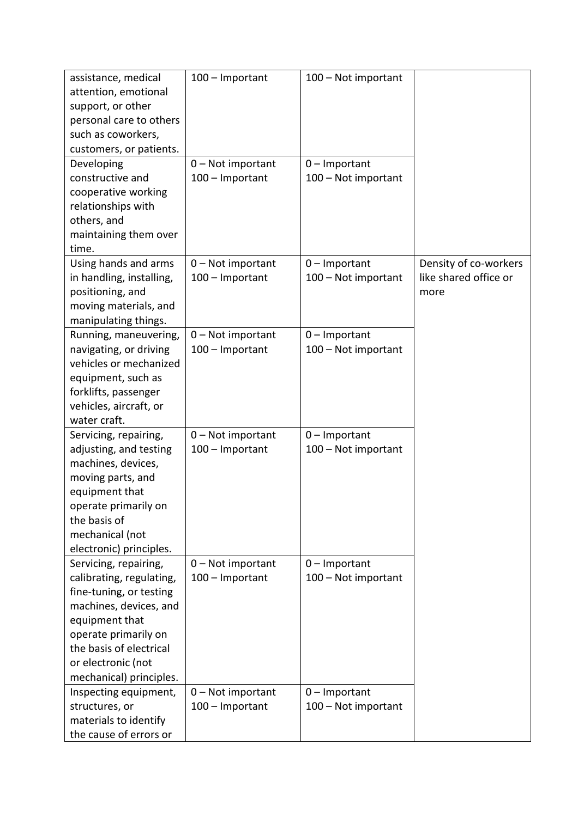| assistance, medical      | 100 - Important     | 100 - Not important |                       |
|--------------------------|---------------------|---------------------|-----------------------|
| attention, emotional     |                     |                     |                       |
| support, or other        |                     |                     |                       |
| personal care to others  |                     |                     |                       |
| such as coworkers,       |                     |                     |                       |
| customers, or patients.  |                     |                     |                       |
|                          |                     |                     |                       |
| Developing               | $0$ – Not important | $0$ – Important     |                       |
| constructive and         | 100 - Important     | 100 - Not important |                       |
| cooperative working      |                     |                     |                       |
| relationships with       |                     |                     |                       |
| others, and              |                     |                     |                       |
| maintaining them over    |                     |                     |                       |
| time.                    |                     |                     |                       |
| Using hands and arms     | $0$ – Not important | $0$ – Important     | Density of co-workers |
| in handling, installing, | 100 - Important     | 100 - Not important | like shared office or |
| positioning, and         |                     |                     | more                  |
| moving materials, and    |                     |                     |                       |
| manipulating things.     |                     |                     |                       |
| Running, maneuvering,    | $0$ – Not important | $0$ – Important     |                       |
| navigating, or driving   | 100 - Important     | 100 - Not important |                       |
| vehicles or mechanized   |                     |                     |                       |
| equipment, such as       |                     |                     |                       |
| forklifts, passenger     |                     |                     |                       |
| vehicles, aircraft, or   |                     |                     |                       |
| water craft.             |                     |                     |                       |
| Servicing, repairing,    | $0$ – Not important | $0$ – Important     |                       |
| adjusting, and testing   | 100 - Important     | 100 - Not important |                       |
| machines, devices,       |                     |                     |                       |
| moving parts, and        |                     |                     |                       |
| equipment that           |                     |                     |                       |
| operate primarily on     |                     |                     |                       |
| the basis of             |                     |                     |                       |
|                          |                     |                     |                       |
| mechanical (not          |                     |                     |                       |
| electronic) principles.  |                     |                     |                       |
| Servicing, repairing,    | $0$ – Not important | $0$ – Important     |                       |
| calibrating, regulating, | 100 - Important     | 100 - Not important |                       |
| fine-tuning, or testing  |                     |                     |                       |
| machines, devices, and   |                     |                     |                       |
| equipment that           |                     |                     |                       |
| operate primarily on     |                     |                     |                       |
| the basis of electrical  |                     |                     |                       |
| or electronic (not       |                     |                     |                       |
| mechanical) principles.  |                     |                     |                       |
| Inspecting equipment,    | 0 - Not important   | $0$ – Important     |                       |
| structures, or           | 100 - Important     | 100 - Not important |                       |
| materials to identify    |                     |                     |                       |
| the cause of errors or   |                     |                     |                       |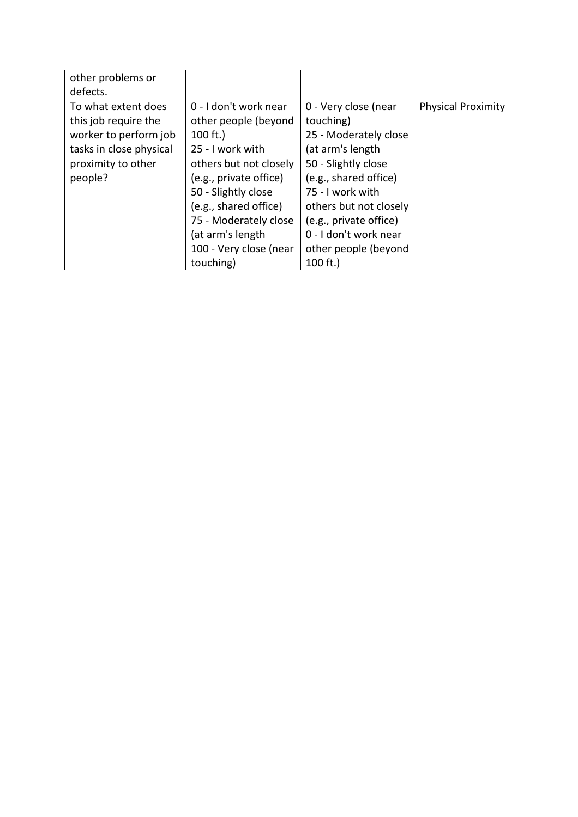| other problems or<br>defects.                                                                                                    |                                                                                                                                                                                                                                                                   |                                                                                                                                                                                                                                                         |                           |
|----------------------------------------------------------------------------------------------------------------------------------|-------------------------------------------------------------------------------------------------------------------------------------------------------------------------------------------------------------------------------------------------------------------|---------------------------------------------------------------------------------------------------------------------------------------------------------------------------------------------------------------------------------------------------------|---------------------------|
| To what extent does<br>this job require the<br>worker to perform job<br>tasks in close physical<br>proximity to other<br>people? | 0 - I don't work near<br>other people (beyond<br>$100 \text{ ft.}$<br>25 - I work with<br>others but not closely<br>(e.g., private office)<br>50 - Slightly close<br>(e.g., shared office)<br>75 - Moderately close<br>(at arm's length<br>100 - Very close (near | 0 - Very close (near<br>touching)<br>25 - Moderately close<br>(at arm's length<br>50 - Slightly close<br>(e.g., shared office)<br>75 - I work with<br>others but not closely<br>(e.g., private office)<br>0 - I don't work near<br>other people (beyond | <b>Physical Proximity</b> |
|                                                                                                                                  | touching)                                                                                                                                                                                                                                                         | 100 $ft.$ )                                                                                                                                                                                                                                             |                           |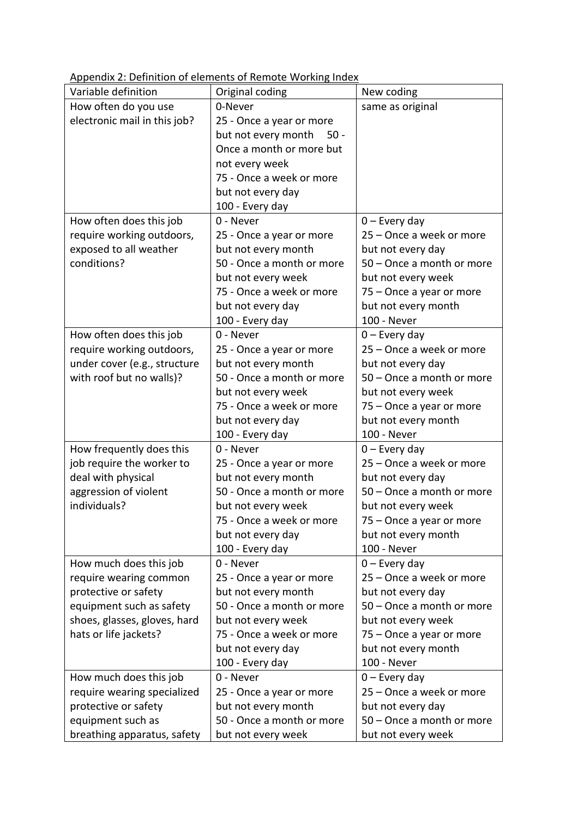Appendix 2: Definition of elements of Remote Working Index

| Variable definition          | whenaw E. Bermann or elements or nemote working mach<br>Original coding | New coding                |
|------------------------------|-------------------------------------------------------------------------|---------------------------|
| How often do you use         | 0-Never                                                                 | same as original          |
| electronic mail in this job? | 25 - Once a year or more                                                |                           |
|                              | but not every month<br>$50 -$                                           |                           |
|                              | Once a month or more but                                                |                           |
|                              | not every week                                                          |                           |
|                              | 75 - Once a week or more                                                |                           |
|                              | but not every day                                                       |                           |
|                              | 100 - Every day                                                         |                           |
| How often does this job      | 0 - Never                                                               | $0$ – Every day           |
| require working outdoors,    | 25 - Once a year or more                                                | 25 – Once a week or more  |
| exposed to all weather       | but not every month                                                     | but not every day         |
| conditions?                  | 50 - Once a month or more                                               | 50 - Once a month or more |
|                              | but not every week                                                      | but not every week        |
|                              | 75 - Once a week or more                                                | 75 – Once a year or more  |
|                              | but not every day                                                       | but not every month       |
|                              | 100 - Every day                                                         | 100 - Never               |
| How often does this job      | 0 - Never                                                               | $0$ – Every day           |
| require working outdoors,    | 25 - Once a year or more                                                | 25 – Once a week or more  |
| under cover (e.g., structure | but not every month                                                     | but not every day         |
| with roof but no walls)?     | 50 - Once a month or more                                               | 50 - Once a month or more |
|                              | but not every week                                                      | but not every week        |
|                              | 75 - Once a week or more                                                | 75 – Once a year or more  |
|                              | but not every day                                                       | but not every month       |
|                              | 100 - Every day                                                         | 100 - Never               |
| How frequently does this     | 0 - Never                                                               | $0$ – Every day           |
| job require the worker to    | 25 - Once a year or more                                                | 25 – Once a week or more  |
| deal with physical           | but not every month                                                     | but not every day         |
| aggression of violent        | 50 - Once a month or more                                               | 50 - Once a month or more |
| individuals?                 | but not every week                                                      | but not every week        |
|                              | 75 - Once a week or more                                                | 75 – Once a year or more  |
|                              | but not every day                                                       | but not every month       |
|                              | 100 - Every day                                                         | 100 - Never               |
| How much does this job       | 0 - Never                                                               | $0$ – Every day           |
| require wearing common       | 25 - Once a year or more                                                | 25 – Once a week or more  |
| protective or safety         | but not every month                                                     | but not every day         |
| equipment such as safety     | 50 - Once a month or more                                               | 50 - Once a month or more |
| shoes, glasses, gloves, hard | but not every week                                                      | but not every week        |
| hats or life jackets?        | 75 - Once a week or more                                                | 75 - Once a year or more  |
|                              | but not every day                                                       | but not every month       |
|                              | 100 - Every day                                                         | 100 - Never               |
| How much does this job       | 0 - Never                                                               | $0$ – Every day           |
| require wearing specialized  | 25 - Once a year or more                                                | 25 – Once a week or more  |
| protective or safety         | but not every month                                                     | but not every day         |
| equipment such as            | 50 - Once a month or more                                               | 50 - Once a month or more |
| breathing apparatus, safety  | but not every week                                                      | but not every week        |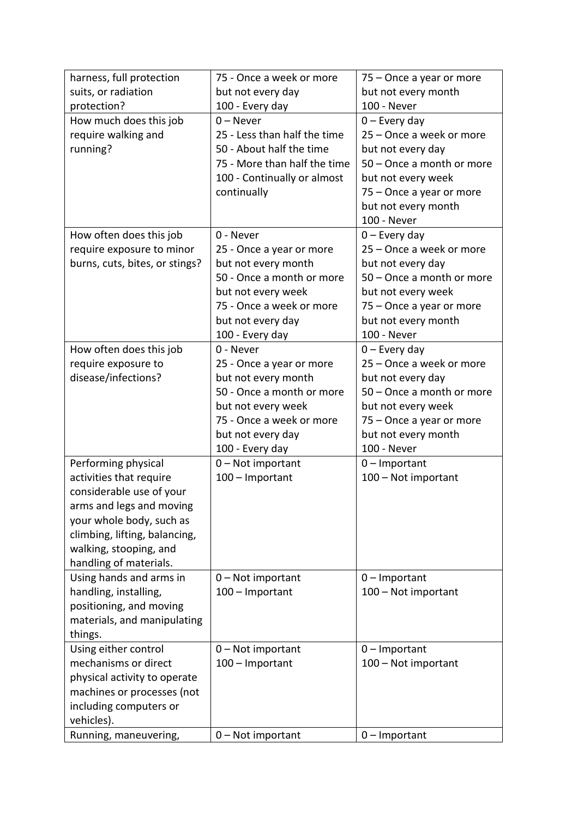| harness, full protection       | 75 - Once a week or more                         | 75 – Once a year or more  |
|--------------------------------|--------------------------------------------------|---------------------------|
| suits, or radiation            | but not every day                                | but not every month       |
| protection?                    | 100 - Every day                                  | 100 - Never               |
| How much does this job         | $0 -$ Never                                      | $0$ – Every day           |
| require walking and            | 25 - Less than half the time                     | 25 - Once a week or more  |
| running?                       | 50 - About half the time                         | but not every day         |
|                                | 75 - More than half the time                     | 50 - Once a month or more |
|                                | 100 - Continually or almost                      | but not every week        |
|                                | continually                                      | 75 - Once a year or more  |
|                                |                                                  | but not every month       |
|                                |                                                  | 100 - Never               |
| How often does this job        | 0 - Never                                        | $0$ – Every day           |
| require exposure to minor      | 25 - Once a year or more                         | 25 - Once a week or more  |
| burns, cuts, bites, or stings? | but not every month                              | but not every day         |
|                                | 50 - Once a month or more                        | 50 - Once a month or more |
|                                | but not every week                               | but not every week        |
|                                | 75 - Once a week or more                         | 75 - Once a year or more  |
|                                | but not every day                                | but not every month       |
|                                | 100 - Every day                                  | 100 - Never               |
| How often does this job        | 0 - Never                                        | $0$ – Every day           |
| require exposure to            |                                                  | 25 – Once a week or more  |
|                                | 25 - Once a year or more                         |                           |
| disease/infections?            | but not every month<br>50 - Once a month or more | but not every day         |
|                                |                                                  | 50 - Once a month or more |
|                                | but not every week                               | but not every week        |
|                                | 75 - Once a week or more                         | 75 - Once a year or more  |
|                                | but not every day                                | but not every month       |
|                                | 100 - Every day                                  | 100 - Never               |
| Performing physical            | 0 - Not important                                | $0$ – Important           |
| activities that require        | 100 - Important                                  | 100 - Not important       |
| considerable use of your       |                                                  |                           |
| arms and legs and moving       |                                                  |                           |
| your whole body, such as       |                                                  |                           |
| climbing, lifting, balancing,  |                                                  |                           |
| walking, stooping, and         |                                                  |                           |
| handling of materials.         |                                                  |                           |
| Using hands and arms in        | $0$ – Not important                              | $0$ – Important           |
| handling, installing,          | 100 - Important                                  | 100 - Not important       |
| positioning, and moving        |                                                  |                           |
| materials, and manipulating    |                                                  |                           |
| things.                        |                                                  |                           |
| Using either control           | $0$ – Not important                              | $0$ – Important           |
| mechanisms or direct           | 100 - Important                                  | 100 - Not important       |
| physical activity to operate   |                                                  |                           |
| machines or processes (not     |                                                  |                           |
| including computers or         |                                                  |                           |
| vehicles).                     |                                                  |                           |
| Running, maneuvering,          | $0$ – Not important                              | $0$ – Important           |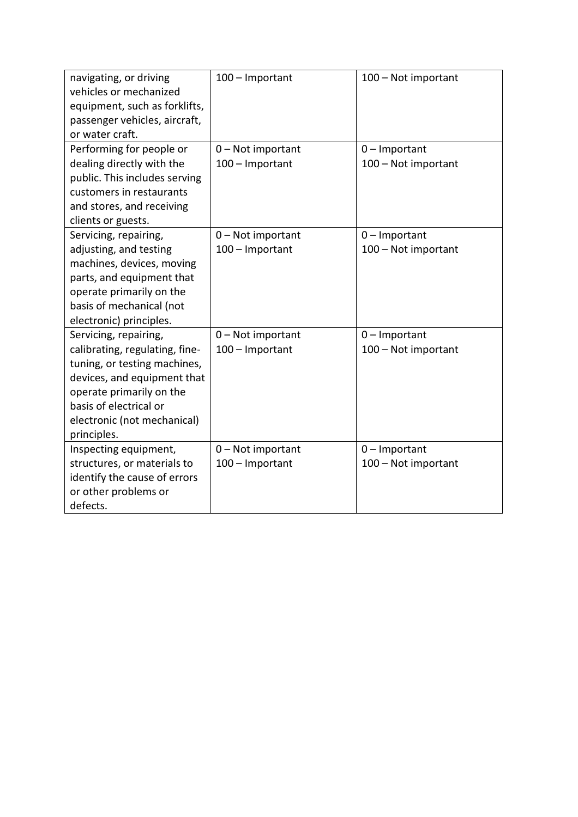| navigating, or driving<br>vehicles or mechanized<br>equipment, such as forklifts,<br>passenger vehicles, aircraft,<br>or water craft. | 100 - Important     | 100 - Not important |
|---------------------------------------------------------------------------------------------------------------------------------------|---------------------|---------------------|
| Performing for people or                                                                                                              | $0$ – Not important | $0$ – Important     |
| dealing directly with the<br>public. This includes serving                                                                            | 100 - Important     | 100 - Not important |
| customers in restaurants                                                                                                              |                     |                     |
| and stores, and receiving                                                                                                             |                     |                     |
| clients or guests.                                                                                                                    |                     |                     |
| Servicing, repairing,                                                                                                                 | 0 - Not important   | $0$ – Important     |
| adjusting, and testing                                                                                                                | 100 - Important     | 100 - Not important |
| machines, devices, moving                                                                                                             |                     |                     |
| parts, and equipment that                                                                                                             |                     |                     |
| operate primarily on the                                                                                                              |                     |                     |
| basis of mechanical (not                                                                                                              |                     |                     |
| electronic) principles.                                                                                                               |                     |                     |
| Servicing, repairing,                                                                                                                 | $0$ – Not important | $0$ – Important     |
| calibrating, regulating, fine-                                                                                                        | 100 - Important     | 100 - Not important |
| tuning, or testing machines,                                                                                                          |                     |                     |
| devices, and equipment that                                                                                                           |                     |                     |
| operate primarily on the                                                                                                              |                     |                     |
| basis of electrical or                                                                                                                |                     |                     |
| electronic (not mechanical)                                                                                                           |                     |                     |
| principles.                                                                                                                           |                     |                     |
| Inspecting equipment,                                                                                                                 | $0$ – Not important | $0$ – Important     |
| structures, or materials to                                                                                                           | 100 - Important     | 100 - Not important |
| identify the cause of errors                                                                                                          |                     |                     |
| or other problems or                                                                                                                  |                     |                     |
| defects.                                                                                                                              |                     |                     |